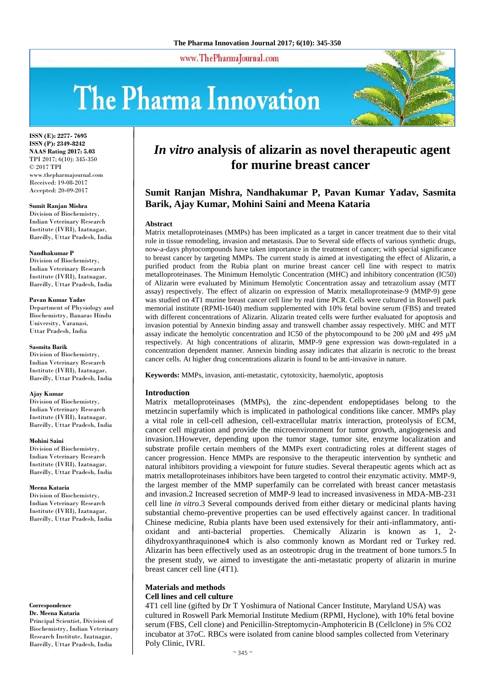www.ThePharmaJournal.com

# The Pharma Innovation



**ISSN (E): 2277- 7695 ISSN (P): 2349-8242 NAAS Rating 2017: 5.03** TPI 2017; 6(10): 345-350 © 2017 TPI www.thepharmajournal.com Received: 19-08-2017 Accepted: 20-09-2017

#### **Sumit Ranjan Mishra**

Division of Biochemistry, Indian Veterinary Research Institute (IVRI), Izatnagar, Bareilly, Uttar Pradesh, India

#### **Nandhakumar P**

Division of Biochemistry, Indian Veterinary Research Institute (IVRI), Izatnagar, Bareilly, Uttar Pradesh, India

#### **Pavan Kumar Yadav**

Department of Physiology and Biochemistry, Banaras Hindu University, Varanasi, Uttar Pradesh, India

#### **Sasmita Barik**

Division of Biochemistry, Indian Veterinary Research Institute (IVRI), Izatnagar, Bareilly, Uttar Pradesh, India

#### **Ajay Kumar**

Division of Biochemistry, Indian Veterinary Research Institute (IVRI), Izatnagar, Bareilly, Uttar Pradesh, India

#### **Mohini Saini**

Division of Biochemistry, Indian Veterinary Research Institute (IVRI), Izatnagar, Bareilly, Uttar Pradesh, India

#### **Meena Kataria**

Division of Biochemistry, Indian Veterinary Research Institute (IVRI), Izatnagar, Bareilly, Uttar Pradesh, India

#### **Correspondence**

**Dr. Meena Kataria**  Principal Scientist, Division of Biochemistry, Indian Veterinary Research Institute, Izatnagar, Bareilly, Uttar Pradesh, India

## *In vitro* **analysis of alizarin as novel therapeutic agent for murine breast cancer**

## **Sumit Ranjan Mishra, Nandhakumar P, Pavan Kumar Yadav, Sasmita Barik, Ajay Kumar, Mohini Saini and Meena Kataria**

#### **Abstract**

Matrix metalloproteinases (MMPs) has been implicated as a target in cancer treatment due to their vital role in tissue remodeling, invasion and metastasis. Due to Several side effects of various synthetic drugs, now-a-days phytocompounds have taken importance in the treatment of cancer; with special significance to breast cancer by targeting MMPs. The current study is aimed at investigating the effect of Alizarin, a purified product from the Rubia plant on murine breast cancer cell line with respect to matrix metalloproteinases. The Minimum Hemolytic Concentration (MHC) and inhibitory concentration (IC50) of Alizarin were evaluated by Minimum Hemolytic Concentration assay and tetrazolium assay (MTT assay) respectively. The effect of alizarin on expression of Matrix metalloproteinase-9 (MMP-9) gene was studied on 4T1 murine breast cancer cell line by real time PCR. Cells were cultured in Roswell park memorial institute (RPMI-1640) medium supplemented with 10% fetal bovine serum (FBS) and treated with different concentrations of Alizarin. Alizarin treated cells were further evaluated for apoptosis and invasion potential by Annexin binding assay and transwell chamber assay respectively. MHC and MTT assay indicate the hemolytic concentration and IC50 of the phytocompound to be 200 μM and 495 μM respectively. At high concentrations of alizarin, MMP-9 gene expression was down-regulated in a concentration dependent manner. Annexin binding assay indicates that alizarin is necrotic to the breast cancer cells. At higher drug concentrations alizarin is found to be anti-invasive in nature.

**Keywords:** MMPs, invasion, anti-metastatic, cytotoxicity, haemolytic, apoptosis

#### **Introduction**

Matrix metalloproteinases (MMPs), the zinc-dependent endopeptidases belong to the metzincin superfamily which is implicated in pathological conditions like cancer. MMPs play a vital role in cell-cell adhesion, cell-extracellular matrix interaction, proteolysis of ECM, cancer cell migration and provide the microenvironment for tumor growth, angiogenesis and invasion.1However, depending upon the tumor stage, tumor site, enzyme localization and substrate profile certain members of the MMPs exert contradicting roles at different stages of cancer progression. Hence MMPs are responsive to the therapeutic intervention by synthetic and natural inhibitors providing a viewpoint for future studies. Several therapeutic agents which act as matrix metalloproteinases inhibitors have been targeted to control their enzymatic activity. MMP-9, the largest member of the MMP superfamily can be correlated with breast cancer metastasis and invasion.2 Increased secretion of MMP-9 lead to increased invasiveness in MDA-MB-231 cell line *in vitro*.3 Several compounds derived from either dietary or medicinal plants having substantial chemo-preventive properties can be used effectively against cancer. In traditional Chinese medicine, Rubia plants have been used extensively for their anti-inflammatory, antioxidant and anti-bacterial properties. Chemically Alizarin is known as 1, 2 dihydroxyanthraquinone4 which is also commonly known as Mordant red or Turkey red. Alizarin has been effectively used as an osteotropic drug in the treatment of bone tumors.5 In the present study, we aimed to investigate the anti-metastatic property of alizarin in murine breast cancer cell line (4T1).

#### **Materials and methods Cell lines and cell culture**

4T1 cell line (gifted by Dr T Yoshimura of National Cancer Institute, Maryland USA) was cultured in Roswell Park Memorial Institute Medium (RPMI, Hyclone), with 10% fetal bovine serum (FBS, Cell clone) and Penicillin-Streptomycin-Amphotericin B (Cellclone) in 5% CO2 incubator at 37oC. RBCs were isolated from canine blood samples collected from Veterinary Poly Clinic, IVRI.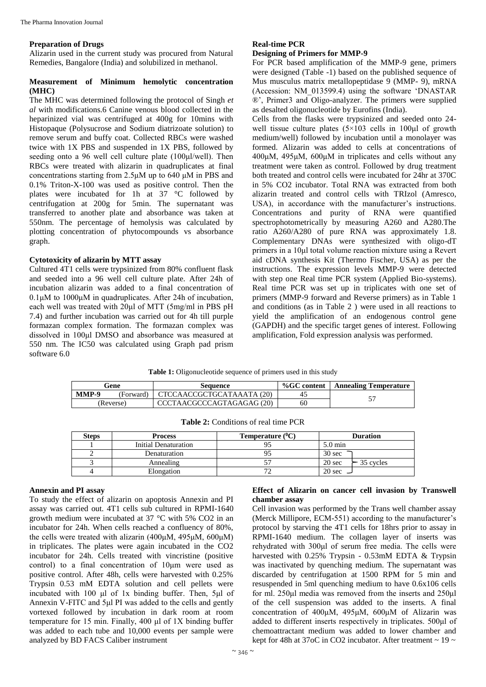#### **Preparation of Drugs**

Alizarin used in the current study was procured from Natural Remedies, Bangalore (India) and solubilized in methanol.

## **Measurement of Minimum hemolytic concentration (MHC)**

The MHC was determined following the protocol of Singh *et al* with modifications.6 Canine venous blood collected in the heparinized vial was centrifuged at 400g for 10mins with Histopaque (Polysucrose and Sodium diatrizoate solution) to remove serum and buffy coat. Collected RBCs were washed twice with 1X PBS and suspended in 1X PBS, followed by seeding onto a 96 well cell culture plate (100μl/well). Then RBCs were treated with alizarin in quadruplicates at final concentrations starting from 2.5μM up to 640 μM in PBS and 0.1% Triton-X-100 was used as positive control. Then the plates were incubated for 1h at 37 °C followed by centrifugation at 200g for 5min. The supernatant was transferred to another plate and absorbance was taken at 550nm. The percentage of hemolysis was calculated by plotting concentration of phytocompounds vs absorbance graph.

#### **Cytotoxicity of alizarin by MTT assay**

Cultured 4T1 cells were trypsinized from 80% confluent flask and seeded into a 96 well cell culture plate. After 24h of incubation alizarin was added to a final concentration of 0.1μM to 1000μM in quadruplicates. After 24h of incubation, each well was treated with 20μl of MTT (5mg/ml in PBS pH 7.4) and further incubation was carried out for 4h till purple formazan complex formation. The formazan complex was dissolved in 100μl DMSO and absorbance was measured at 550 nm. The IC50 was calculated using Graph pad prism software 6.0

## **Real-time PCR**

## **Designing of Primers for MMP-9**

For PCR based amplification of the MMP-9 gene, primers were designed (Table -1) based on the published sequence of Mus musculus matrix metallopeptidase 9 (MMP- 9), mRNA (Accession: NM\_013599.4) using the software 'DNASTAR ®', Primer3 and Oligo-analyzer. The primers were supplied as desalted oligonucleotide by Eurofins (India).

Cells from the flasks were trypsinized and seeded onto 24 well tissue culture plates  $(5 \times 103$  cells in 100µl of growth medium/well) followed by incubation until a monolayer was formed. Alizarin was added to cells at concentrations of 400μM, 495μM, 600μM in triplicates and cells without any treatment were taken as control. Followed by drug treatment both treated and control cells were incubated for 24hr at 370C in 5% CO2 incubator. Total RNA was extracted from both alizarin treated and control cells with TRIzol (Amresco, USA), in accordance with the manufacturer's instructions. Concentrations and purity of RNA were quantified spectrophotometrically by measuring A260 and A280.The ratio A260/A280 of pure RNA was approximately 1.8. Complementary DNAs were synthesized with oligo-dT primers in a 10μl total volume reaction mixture using a Revert aid cDNA synthesis Kit (Thermo Fischer, USA) as per the instructions. The expression levels MMP-9 were detected with step one Real time PCR system (Applied Bio-systems). Real time PCR was set up in triplicates with one set of primers (MMP-9 forward and Reverse primers) as in Table 1 and conditions (as in Table 2 ) were used in all reactions to yield the amplification of an endogenous control gene (GAPDH) and the specific target genes of interest. Following amplification, Fold expression analysis was performed.

**Table 1:** Oligonucleotide sequence of primers used in this study

| Gene         |           | %GC content<br>Sequence   |    | <b>Annealing Temperature</b> |  |
|--------------|-----------|---------------------------|----|------------------------------|--|
| <b>MMP-9</b> | (Forward) | CTCCAACCGCTGCATAAATA (20) | 41 |                              |  |
| (Reverse)    |           | CCCTAACGCCCAGTAGAGAG (20) | 60 |                              |  |

| <b>Table 2:</b> Conditions of real time PCR |  |
|---------------------------------------------|--|
|---------------------------------------------|--|

| <b>Steps</b> | <b>Process</b>       | Temperature $(^0C)$      | Duration             |
|--------------|----------------------|--------------------------|----------------------|
|              | Initial Denaturation |                          | $5.0 \text{ min}$    |
|              | Denaturation         |                          | $30 \text{ sec}$     |
|              | Annealing            |                          | 20 sec<br>35 cycles  |
|              | Elongation           | $\overline{\phantom{a}}$ | $20 \text{ sec}$ $-$ |

## **Annexin and PI assay**

To study the effect of alizarin on apoptosis Annexin and PI assay was carried out. 4T1 cells sub cultured in RPMI-1640 growth medium were incubated at 37 °C with 5% CO2 in an incubator for 24h. When cells reached a confluency of 80%, the cells were treated with alizarin (400μM, 495μM, 600μM) in triplicates. The plates were again incubated in the CO2 incubator for 24h. Cells treated with vincristine (positive control) to a final concentration of 10μm were used as positive control. After 48h, cells were harvested with 0.25% Trypsin 0.53 mM EDTA solution and cell pellets were incubated with 100 μl of 1x binding buffer. Then, 5μl of Annexin V-FITC and 5μl PI was added to the cells and gently vortexed followed by incubation in dark room at room temperature for 15 min. Finally, 400 μl of 1X binding buffer was added to each tube and 10,000 events per sample were analyzed by BD FACS Caliber instrument

#### **Effect of Alizarin on cancer cell invasion by Transwell chamber assay**

Cell invasion was performed by the Trans well chamber assay (Merck Millipore, ECM-551) according to the manufacturer's protocol by starving the 4T1 cells for 18hrs prior to assay in RPMI-1640 medium. The collagen layer of inserts was rehydrated with 300μl of serum free media. The cells were harvested with 0.25% Trypsin - 0.53mM EDTA & Trypsin was inactivated by quenching medium. The supernatant was discarded by centrifugation at 1500 RPM for 5 min and resuspended in 5ml quenching medium to have 0.6x106 cells for ml. 250μl media was removed from the inserts and 250μl of the cell suspension was added to the inserts. A final concentration of 400μM, 495μM, 600μM of Alizarin was added to different inserts respectively in triplicates. 500μl of chemoattractant medium was added to lower chamber and kept for 48h at 37oC in CO2 incubator. After treatment  $\sim$  19  $\sim$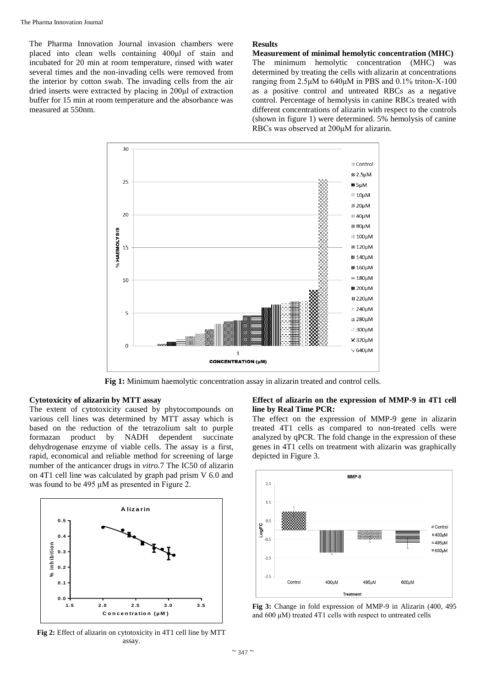The Pharma Innovation Journal invasion chambers were placed into clean wells containing 400μl of stain and incubated for 20 min at room temperature, rinsed with water several times and the non-invading cells were removed from the interior by cotton swab. The invading cells from the air dried inserts were extracted by placing in 200μl of extraction buffer for 15 min at room temperature and the absorbance was measured at 550nm.

#### **Results**

**Measurement of minimal hemolytic concentration (MHC)**  The minimum hemolytic concentration (MHC) was determined by treating the cells with alizarin at concentrations ranging from 2.5μM to 640μM in PBS and 0.1% triton-X-100 as a positive control and untreated RBCs as a negative control. Percentage of hemolysis in canine RBCs treated with different concentrations of alizarin with respect to the controls (shown in figure 1) were determined. 5% hemolysis of canine RBCs was observed at 200μM for alizarin.



**Fig 1:** Minimum haemolytic concentration assay in alizarin treated and control cells.

#### **Cytotoxicity of alizarin by MTT assay**

The extent of cytotoxicity caused by phytocompounds on various cell lines was determined by MTT assay which is based on the reduction of the tetrazolium salt to purple formazan product by NADH dependent succinate dehydrogenase enzyme of viable cells. The assay is a first, rapid, economical and reliable method for screening of large number of the anticancer drugs in *vitro.*7 The IC50 of alizarin on 4T1 cell line was calculated by graph pad prism V 6.0 and was found to be 495 μM as presented in Figure 2.



**Fig 2:** Effect of alizarin on cytotoxicity in 4T1 cell line by MTT assay.

## **Effect of alizarin on the expression of MMP-9 in 4T1 cell line by Real Time PCR:**

The effect on the expression of MMP-9 gene in alizarin treated 4T1 cells as compared to non-treated cells were analyzed by qPCR. The fold change in the expression of these genes in 4T1 cells on treatment with alizarin was graphically depicted in Figure 3.



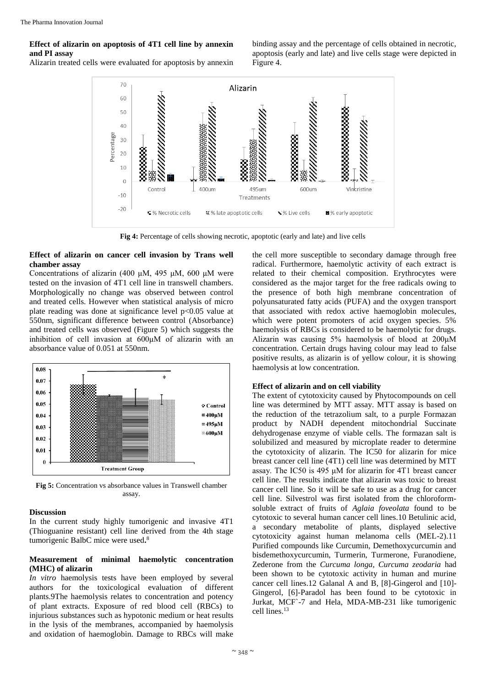#### **Effect of alizarin on apoptosis of 4T1 cell line by annexin and PI assay**

Alizarin treated cells were evaluated for apoptosis by annexin

binding assay and the percentage of cells obtained in necrotic, apoptosis (early and late) and live cells stage were depicted in Figure 4.



**Fig 4:** Percentage of cells showing necrotic, apoptotic (early and late) and live cells

#### **Effect of alizarin on cancer cell invasion by Trans well chamber assay**

Concentrations of alizarin (400 μM, 495 μM, 600 μM were tested on the invasion of 4T1 cell line in transwell chambers. Morphologically no change was observed between control and treated cells. However when statistical analysis of micro plate reading was done at significance level  $p<0.05$  value at 550nm, significant difference between control (Absorbance) and treated cells was observed (Figure 5) which suggests the inhibition of cell invasion at 600μM of alizarin with an absorbance value of 0.051 at 550nm.



**Fig 5:** Concentration vs absorbance values in Transwell chamber assay.

#### **Discussion**

In the current study highly tumorigenic and invasive 4T1 (Thioguanine resistant) cell line derived from the 4th stage tumorigenic BalbC mice were used**.** 8

## **Measurement of minimal haemolytic concentration (MHC) of alizarin**

*In vitro* haemolysis tests have been employed by several authors for the toxicological evaluation of different plants.9The haemolysis relates to concentration and potency of plant extracts. Exposure of red blood cell (RBCs) to injurious substances such as hypotonic medium or heat results in the lysis of the membranes, accompanied by haemolysis and oxidation of haemoglobin. Damage to RBCs will make

the cell more susceptible to secondary damage through free radical. Furthermore, haemolytic activity of each extract is related to their chemical composition. Erythrocytes were considered as the major target for the free radicals owing to the presence of both high membrane concentration of polyunsaturated fatty acids (PUFA) and the oxygen transport that associated with redox active haemoglobin molecules, which were potent promoters of acid oxygen species. 5% haemolysis of RBCs is considered to be haemolytic for drugs. Alizarin was causing 5% haemolysis of blood at 200μM concentration. Certain drugs having colour may lead to false positive results, as alizarin is of yellow colour, it is showing haemolysis at low concentration.

## **Effect of alizarin and on cell viability**

The extent of cytotoxicity caused by Phytocompounds on cell line was determined by MTT assay. MTT assay is based on the reduction of the tetrazolium salt, to a purple Formazan product by NADH dependent mitochondrial Succinate dehydrogenase enzyme of viable cells. The formazan salt is solubilized and measured by microplate reader to determine the cytotoxicity of alizarin. The IC50 for alizarin for mice breast cancer cell line (4T1) cell line was determined by MTT assay. The IC50 is 495 μM for alizarin for 4T1 breast cancer cell line. The results indicate that alizarin was toxic to breast cancer cell line. So it will be safe to use as a drug for cancer cell line. Silvestrol was first isolated from the chloroformsoluble extract of fruits of *Aglaia foveolata* found to be cytotoxic to several human cancer cell lines.10 Betulinic acid, a secondary metabolite of plants, displayed selective cytotoxicity against human melanoma cells (MEL-2).11 Purified compounds like Curcumin, Demethoxycurcumin and bisdemethoxycurcumin, Turmerin, Turmerone, Furanodiene, Zederone from the *Curcuma longa, Curcuma zeodaria* had been shown to be cytotoxic activity in human and murine cancer cell lines.12 Galanal A and B, [8]-Gingerol and [10]- Gingerol, [6]-Paradol has been found to be cytotoxic in Jurkat, MCF`-7 and Hela, MDA-MB-231 like tumorigenic cell lines.13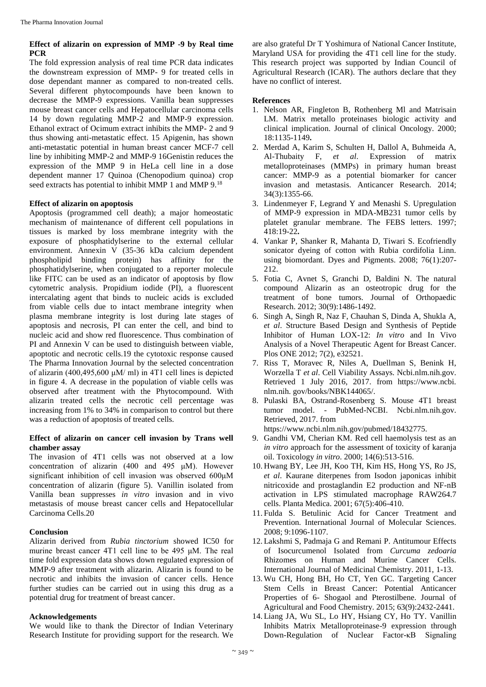## **Effect of alizarin on expression of MMP -9 by Real time PCR**

The fold expression analysis of real time PCR data indicates the downstream expression of MMP- 9 for treated cells in dose dependant manner as compared to non-treated cells. Several different phytocompounds have been known to decrease the MMP-9 expressions. Vanilla bean suppresses mouse breast cancer cells and Hepatocellular carcinoma cells 14 by down regulating MMP-2 and MMP-9 expression. Ethanol extract of Ocimum extract inhibits the MMP- 2 and 9 thus showing anti-metastatic effect. 15 Apigenin, has shown anti-metastatic potential in human breast cancer MCF-7 cell line by inhibiting MMP-2 and MMP-9 16Genistin reduces the expression of the MMP 9 in HeLa cell line in a dose dependent manner 17 Quinoa (Chenopodium quinoa) crop seed extracts has potential to inhibit MMP 1 and MMP 9.<sup>18</sup>

## **Effect of alizarin on apoptosis**

Apoptosis (programmed cell death); a major homeostatic mechanism of maintenance of different cell populations in tissues is marked by loss membrane integrity with the exposure of phosphatidylserine to the external cellular environment. Annexin V (35-36 kDa calcium dependent phospholipid binding protein) has affinity for the phosphatidylserine, when conjugated to a reporter molecule like FITC can be used as an indicator of apoptosis by flow cytometric analysis. Propidium iodide (PI), a fluorescent intercalating agent that binds to nucleic acids is excluded from viable cells due to intact membrane integrity when plasma membrane integrity is lost during late stages of apoptosis and necrosis, PI can enter the cell, and bind to nucleic acid and show red fluorescence. Thus combination of PI and Annexin V can be used to distinguish between viable, apoptotic and necrotic cells.19 the cytotoxic response caused The Pharma Innovation Journal by the selected concentration of alizarin (400,495,600 μM/ ml) in 4T1 cell lines is depicted in figure 4. A decrease in the population of viable cells was observed after treatment with the Phytocompound. With alizarin treated cells the necrotic cell percentage was increasing from 1% to 34% in comparison to control but there was a reduction of apoptosis of treated cells.

#### **Effect of alizarin on cancer cell invasion by Trans well chamber assay**

The invasion of 4T1 cells was not observed at a low concentration of alizarin (400 and 495 μM). However significant inhibition of cell invasion was observed 600μM concentration of alizarin (figure 5). Vanillin isolated from Vanilla bean suppresses *in vitro* invasion and in vivo metastasis of mouse breast cancer cells and Hepatocellular Carcinoma Cells.20

## **Conclusion**

Alizarin derived from *Rubia tinctorium* showed IC50 for murine breast cancer 4T1 cell line to be 495 μM. The real time fold expression data shows down regulated expression of MMP-9 after treatment with alizarin. Alizarin is found to be necrotic and inhibits the invasion of cancer cells. Hence further studies can be carried out in using this drug as a potential drug for treatment of breast cancer.

#### **Acknowledgements**

We would like to thank the Director of Indian Veterinary Research Institute for providing support for the research. We

are also grateful Dr T Yoshimura of National Cancer Institute, Maryland USA for providing the 4T1 cell line for the study. This research project was supported by Indian Council of Agricultural Research (ICAR). The authors declare that they have no conflict of interest.

#### **References**

- 1. Nelson AR, Fingleton B, Rothenberg Ml and Matrisain LM. Matrix metallo proteinases biologic activity and clinical implication. Journal of clinical Oncology. 2000; 18:1135-1149**.**
- 2. Merdad A, Karim S, Schulten H, Dallol A, Buhmeida A, Al-Thubaity F, *et al*. Expression of matrix metalloproteinases (MMPs) in primary human breast cancer: MMP-9 as a potential biomarker for cancer invasion and metastasis. Anticancer Research. 2014; 34(3):1355-66.
- 3. Lindenmeyer F, Legrand Y and Menashi S. Upregulation of MMP-9 expression in MDA-MB231 tumor cells by platelet granular membrane. The FEBS letters. 1997; 418:19-22**.**
- 4. Vankar P, Shanker R, Mahanta D, Tiwari S. Ecofriendly sonicator dyeing of cotton with Rubia cordifolia Linn. using biomordant. Dyes and Pigments. 2008; 76(1):207- 212.
- 5. Fotia C, Avnet S, Granchi D, Baldini N. The natural compound Alizarin as an osteotropic drug for the treatment of bone tumors. Journal of Orthopaedic Research. 2012; 30(9):1486-1492.
- 6. Singh A, Singh R, Naz F, Chauhan S, Dinda A, Shukla A, *et al*. Structure Based Design and Synthesis of Peptide Inhibitor of Human LOX-12: *In vitro* and In Vivo Analysis of a Novel Therapeutic Agent for Breast Cancer. Plos ONE 2012; 7(2), e32521.
- 7. Riss T, Moravec R, Niles A, Duellman S, Benink H, Worzella T *et al*. Cell Viability Assays. Ncbi.nlm.nih.gov. Retrieved 1 July 2016, 2017. from https://www.ncbi. nlm.nih. gov/books/NBK144065/.
- 8. Pulaski BA, Ostrand-Rosenberg S. Mouse 4T1 breast tumor model. - PubMed-NCBI. Ncbi.nlm.nih.gov. Retrieved, 2017. from https://www.ncbi.nlm.nih.gov/pubmed/18432775.
- 9. Gandhi VM, Cherian KM. Red cell haemolysis test as an *in vitro* approach for the assessment of toxicity of karanja oil. Toxicology *in vitro*. 2000; 14(6):513-516.
- 10. Hwang BY, Lee JH, Koo TH, Kim HS, Hong YS, Ro JS, *et al*. Kaurane diterpenes from Isodon japonicas inhibit nitricoxide and prostaglandin E2 production and NF-nB activation in LPS stimulated macrophage RAW264.7 cells. Planta Medica. 2001; 67(5):406-410.
- 11. Fulda S. Betulinic Acid for Cancer Treatment and Prevention. International Journal of Molecular Sciences. 2008; 9:1096-1107.
- 12. Lakshmi S, Padmaja G and Remani P. Antitumour Effects of Isocurcumenol Isolated from *Curcuma zedoaria*  Rhizomes on Human and Murine Cancer Cells. International Journal of Medicinal Chemistry. 2011, 1-13.
- 13. Wu CH, Hong BH, Ho CT, Yen GC. Targeting Cancer Stem Cells in Breast Cancer: Potential Anticancer Properties of 6- Shogaol and Pterostilbene. Journal of Agricultural and Food Chemistry. 2015; 63(9):2432-2441.
- 14. Liang JA, Wu SL, Lo HY, Hsiang CY, Ho TY. Vanillin Inhibits Matrix Metalloproteinase-9 expression through Down-Regulation of Nuclear Factor-κB Signaling